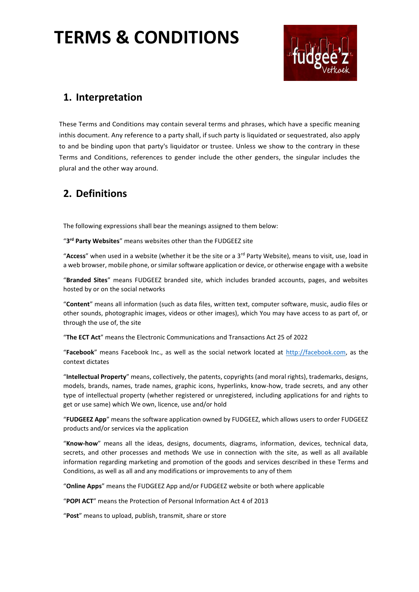

### **1. Interpretation**

These Terms and Conditions may contain several terms and phrases, which have a specific meaning inthis document. Any reference to a party shall, if such party is liquidated or sequestrated, also apply to and be binding upon that party's liquidator or trustee. Unless we show to the contrary in these Terms and Conditions, references to gender include the other genders, the singular includes the plural and the other way around.

### **2. Definitions**

The following expressions shall bear the meanings assigned to them below:

"**3 rd Party Websites**" means websites other than the FUDGEEZ site

"**Access**" when used in a website (whether it be the site or a 3rd Party Website), means to visit, use, load in a web browser, mobile phone, or similar software application or device, or otherwise engage with a website

"**Branded Sites**" means FUDGEEZ branded site, which includes branded accounts, pages, and websites hosted by or on the social networks

"**Content**" means all information (such as data files, written text, computer software, music, audio files or other sounds, photographic images, videos or other images), which You may have access to as part of, or through the use of, the site

"**The ECT Act**" means the Electronic Communications and Transactions Act 25 of 2022

"**Facebook**" means Facebook Inc., as well as the social network located at [http://facebook.com,](http://facebook.com/) as the context dictates

"**Intellectual Property**" means, collectively, the patents, copyrights (and moral rights), trademarks, designs, models, brands, names, trade names, graphic icons, hyperlinks, know-how, trade secrets, and any other type of intellectual property (whether registered or unregistered, including applications for and rights to get or use same) which We own, licence, use and/or hold

"**FUDGEEZ App**" means the software application owned by FUDGEEZ, which allows users to order FUDGEEZ products and/or services via the application

"**Know-how**" means all the ideas, designs, documents, diagrams, information, devices, technical data, secrets, and other processes and methods We use in connection with the site, as well as all available information regarding marketing and promotion of the goods and services described in these Terms and Conditions, as well as all and any modifications or improvements to any of them

"**Online Apps**" means the FUDGEEZ App and/or FUDGEEZ website or both where applicable

"**POPI ACT**" means the Protection of Personal Information Act 4 of 2013

"**Post**" means to upload, publish, transmit, share or store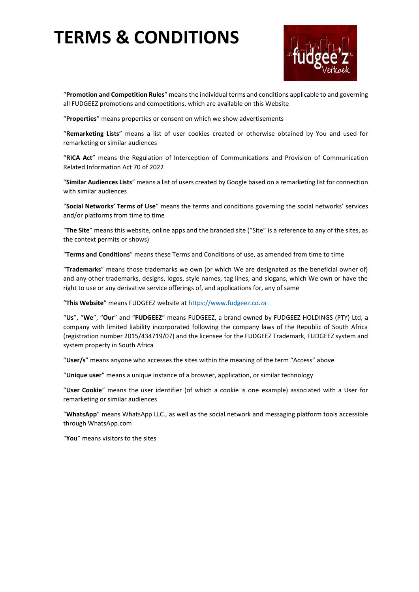

"**Promotion and Competition Rules**" means the individual terms and conditions applicable to and governing all FUDGEEZ promotions and competitions, which are available on this Website

"**Properties**" means properties or consent on which we show advertisements

"**Remarketing Lists**" means a list of user cookies created or otherwise obtained by You and used for remarketing or similar audiences

"**RICA Act**" means the Regulation of Interception of Communications and Provision of Communication Related Information Act 70 of 2022

"**Similar Audiences Lists**" means a list of users created by Google based on a remarketing list for connection with similar audiences

"**Social Networks' Terms of Use**" means the terms and conditions governing the social networks' services and/or platforms from time to time

"**The Site**" means this website, online apps and the branded site ("Site" is a reference to any of the sites, as the context permits or shows)

"**Terms and Conditions**" means these Terms and Conditions of use, as amended from time to time

"**Trademarks**" means those trademarks we own (or which We are designated as the beneficial owner of) and any other trademarks, designs, logos, style names, tag lines, and slogans, which We own or have the right to use or any derivative service offerings of, and applications for, any of same

"**This Website**" means FUDGEEZ website at [https://www.fudgeez.co.za](https://www.fudgeez.co.za/)

"**Us**", "**We**", "**Our**" and "**FUDGEEZ**" means FUDGEEZ, a brand owned by FUDGEEZ HOLDINGS (PTY) Ltd, a company with limited liability incorporated following the company laws of the Republic of South Africa (registration number 2015/434719/07) and the licensee for the FUDGEEZ Trademark, FUDGEEZ system and system property in South Africa

"**User/s**" means anyone who accesses the sites within the meaning of the term "Access" above

"**Unique user**" means a unique instance of a browser, application, or similar technology

"**User Cookie**" means the user identifier (of which a cookie is one example) associated with a User for remarketing or similar audiences

"**WhatsApp**" means WhatsApp LLC., as well as the social network and messaging platform tools accessible through WhatsApp.com

"**You**" means visitors to the sites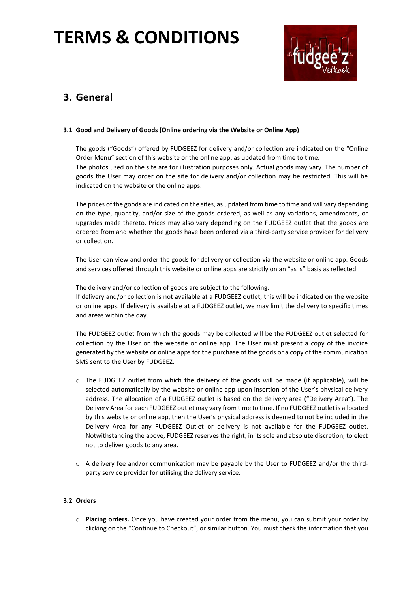

### **3. General**

#### **3.1 Good and Delivery of Goods (Online ordering via the Website or Online App)**

The goods ("Goods") offered by FUDGEEZ for delivery and/or collection are indicated on the "Online Order Menu" section of this website or the online app, as updated from time to time. The photos used on the site are for illustration purposes only. Actual goods may vary. The number of goods the User may order on the site for delivery and/or collection may be restricted. This will be indicated on the website or the online apps.

The prices of the goods are indicated on the sites, as updated from time to time and will vary depending on the type, quantity, and/or size of the goods ordered, as well as any variations, amendments, or upgrades made thereto. Prices may also vary depending on the FUDGEEZ outlet that the goods are ordered from and whether the goods have been ordered via a third-party service provider for delivery or collection.

The User can view and order the goods for delivery or collection via the website or online app. Goods and services offered through this website or online apps are strictly on an "as is" basis as reflected.

The delivery and/or collection of goods are subject to the following: If delivery and/or collection is not available at a FUDGEEZ outlet, this will be indicated on the website or online apps. If delivery is available at a FUDGEEZ outlet, we may limit the delivery to specific times and areas within the day.

The FUDGEEZ outlet from which the goods may be collected will be the FUDGEEZ outlet selected for collection by the User on the website or online app. The User must present a copy of the invoice generated by the website or online apps for the purchase of the goods or a copy of the communication SMS sent to the User by FUDGEEZ.

- $\circ$  The FUDGEEZ outlet from which the delivery of the goods will be made (if applicable), will be selected automatically by the website or online app upon insertion of the User's physical delivery address. The allocation of a FUDGEEZ outlet is based on the delivery area ("Delivery Area"). The Delivery Area for each FUDGEEZ outlet may vary from time to time. If no FUDGEEZ outlet is allocated by this website or online app, then the User's physical address is deemed to not be included in the Delivery Area for any FUDGEEZ Outlet or delivery is not available for the FUDGEEZ outlet. Notwithstanding the above, FUDGEEZ reserves the right, in its sole and absolute discretion, to elect not to deliver goods to any area.
- o A delivery fee and/or communication may be payable by the User to FUDGEEZ and/or the thirdparty service provider for utilising the delivery service.

#### **3.2 Orders**

o **Placing orders.** Once you have created your order from the menu, you can submit your order by clicking on the "Continue to Checkout", or similar button. You must check the information that you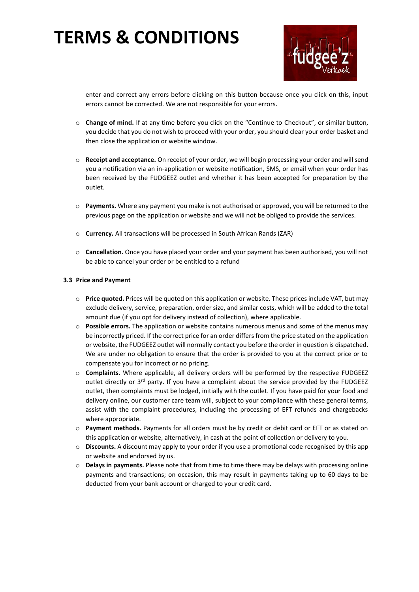

enter and correct any errors before clicking on this button because once you click on this, input errors cannot be corrected. We are not responsible for your errors.

- o **Change of mind.** If at any time before you click on the "Continue to Checkout", or similar button, you decide that you do not wish to proceed with your order, you should clear your order basket and then close the application or website window.
- o **Receipt and acceptance.** On receipt of your order, we will begin processing your order and will send you a notification via an in-application or website notification, SMS, or email when your order has been received by the FUDGEEZ outlet and whether it has been accepted for preparation by the outlet.
- o **Payments.** Where any payment you make is not authorised or approved, you will be returned to the previous page on the application or website and we will not be obliged to provide the services.
- o **Currency.** All transactions will be processed in South African Rands (ZAR)
- o **Cancellation.** Once you have placed your order and your payment has been authorised, you will not be able to cancel your order or be entitled to a refund

#### **3.3 Price and Payment**

- o **Price quoted.** Prices will be quoted on this application or website. These prices include VAT, but may exclude delivery, service, preparation, order size, and similar costs, which will be added to the total amount due (if you opt for delivery instead of collection), where applicable.
- o **Possible errors.** The application or website contains numerous menus and some of the menus may be incorrectly priced. If the correct price for an order differs from the price stated on the application or website, the FUDGEEZ outlet will normally contact you before the order in question is dispatched. We are under no obligation to ensure that the order is provided to you at the correct price or to compensate you for incorrect or no pricing.
- o **Complaints.** Where applicable, all delivery orders will be performed by the respective FUDGEEZ outlet directly or 3<sup>rd</sup> party. If you have a complaint about the service provided by the FUDGEEZ outlet, then complaints must be lodged, initially with the outlet. If you have paid for your food and delivery online, our customer care team will, subject to your compliance with these general terms, assist with the complaint procedures, including the processing of EFT refunds and chargebacks where appropriate.
- o **Payment methods.** Payments for all orders must be by credit or debit card or EFT or as stated on this application or website, alternatively, in cash at the point of collection or delivery to you.
- o **Discounts.** A discount may apply to your order if you use a promotional code recognised by this app or website and endorsed by us.
- o **Delays in payments.** Please note that from time to time there may be delays with processing online payments and transactions; on occasion, this may result in payments taking up to 60 days to be deducted from your bank account or charged to your credit card.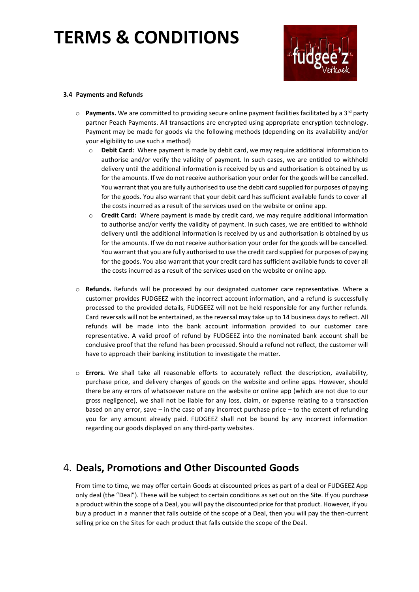

#### **3.4 Payments and Refunds**

- $\circ$  **Payments.** We are committed to providing secure online payment facilities facilitated by a 3<sup>rd</sup> party partner Peach Payments. All transactions are encrypted using appropriate encryption technology. Payment may be made for goods via the following methods (depending on its availability and/or your eligibility to use such a method)
	- o **Debit Card:** Where payment is made by debit card, we may require additional information to authorise and/or verify the validity of payment. In such cases, we are entitled to withhold delivery until the additional information is received by us and authorisation is obtained by us for the amounts. If we do not receive authorisation your order for the goods will be cancelled. You warrant that you are fully authorised to use the debit card supplied for purposes of paying for the goods. You also warrant that your debit card has sufficient available funds to cover all the costs incurred as a result of the services used on the website or online app.
	- o **Credit Card:** Where payment is made by credit card, we may require additional information to authorise and/or verify the validity of payment. In such cases, we are entitled to withhold delivery until the additional information is received by us and authorisation is obtained by us for the amounts. If we do not receive authorisation your order for the goods will be cancelled. You warrant that you are fully authorised to use the credit card supplied for purposes of paying for the goods. You also warrant that your credit card has sufficient available funds to cover all the costs incurred as a result of the services used on the website or online app.
- o **Refunds.** Refunds will be processed by our designated customer care representative. Where a customer provides FUDGEEZ with the incorrect account information, and a refund is successfully processed to the provided details, FUDGEEZ will not be held responsible for any further refunds. Card reversals will not be entertained, as the reversal may take up to 14 business days to reflect. All refunds will be made into the bank account information provided to our customer care representative. A valid proof of refund by FUDGEEZ into the nominated bank account shall be conclusive proof that the refund has been processed. Should a refund not reflect, the customer will have to approach their banking institution to investigate the matter.
- o **Errors.** We shall take all reasonable efforts to accurately reflect the description, availability, purchase price, and delivery charges of goods on the website and online apps. However, should there be any errors of whatsoever nature on the website or online app (which are not due to our gross negligence), we shall not be liable for any loss, claim, or expense relating to a transaction based on any error, save – in the case of any incorrect purchase price – to the extent of refunding you for any amount already paid. FUDGEEZ shall not be bound by any incorrect information regarding our goods displayed on any third-party websites.

### 4. **Deals, Promotions and Other Discounted Goods**

From time to time, we may offer certain Goods at discounted prices as part of a deal or FUDGEEZ App only deal (the "Deal"). These will be subject to certain conditions as set out on the Site. If you purchase a product within the scope of a Deal, you will pay the discounted price for that product. However, if you buy a product in a manner that falls outside of the scope of a Deal, then you will pay the then-current selling price on the Sites for each product that falls outside the scope of the Deal.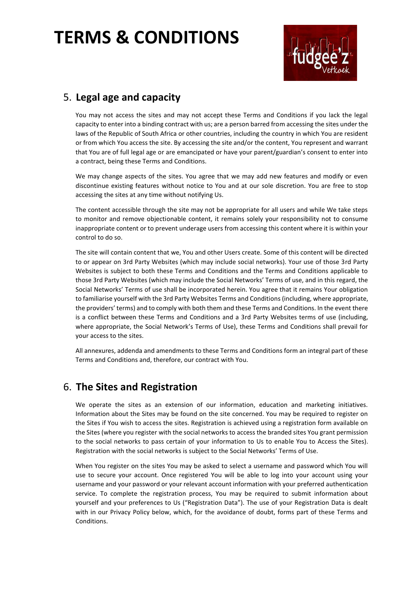

### 5. **Legal age and capacity**

You may not access the sites and may not accept these Terms and Conditions if you lack the legal capacity to enter into a binding contract with us; are a person barred from accessing the sites under the laws of the Republic of South Africa or other countries, including the country in which You are resident or from which You access the site. By accessing the site and/or the content, You represent and warrant that You are of full legal age or are emancipated or have your parent/guardian's consent to enter into a contract, being these Terms and Conditions.

We may change aspects of the sites. You agree that we may add new features and modify or even discontinue existing features without notice to You and at our sole discretion. You are free to stop accessing the sites at any time without notifying Us.

The content accessible through the site may not be appropriate for all users and while We take steps to monitor and remove objectionable content, it remains solely your responsibility not to consume inappropriate content or to prevent underage users from accessing this content where it is within your control to do so.

The site will contain content that we, You and other Users create. Some of this content will be directed to or appear on 3rd Party Websites (which may include social networks). Your use of those 3rd Party Websites is subject to both these Terms and Conditions and the Terms and Conditions applicable to those 3rd Party Websites (which may include the Social Networks' Terms of use, and in this regard, the Social Networks' Terms of use shall be incorporated herein. You agree that it remains Your obligation to familiarise yourself with the 3rd Party Websites Terms and Conditions (including, where appropriate, the providers' terms) and to comply with both them and these Terms and Conditions. In the event there is a conflict between these Terms and Conditions and a 3rd Party Websites terms of use (including, where appropriate, the Social Network's Terms of Use), these Terms and Conditions shall prevail for your access to the sites.

All annexures, addenda and amendments to these Terms and Conditions form an integral part of these Terms and Conditions and, therefore, our contract with You.

### 6. **The Sites and Registration**

We operate the sites as an extension of our information, education and marketing initiatives. Information about the Sites may be found on the site concerned. You may be required to register on the Sites if You wish to access the sites. Registration is achieved using a registration form available on the Sites (where you register with the social networks to access the branded sites You grant permission to the social networks to pass certain of your information to Us to enable You to Access the Sites). Registration with the social networks is subject to the Social Networks' Terms of Use.

When You register on the sites You may be asked to select a username and password which You will use to secure your account. Once registered You will be able to log into your account using your username and your password or your relevant account information with your preferred authentication service. To complete the registration process, You may be required to submit information about yourself and your preferences to Us ("Registration Data"). The use of your Registration Data is dealt with in our Privacy Policy below, which, for the avoidance of doubt, forms part of these Terms and Conditions.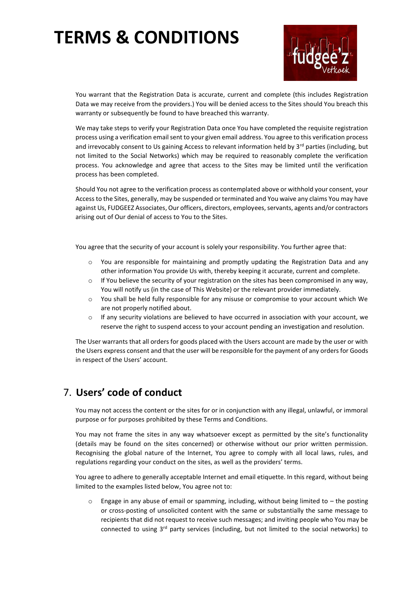

You warrant that the Registration Data is accurate, current and complete (this includes Registration Data we may receive from the providers.) You will be denied access to the Sites should You breach this warranty or subsequently be found to have breached this warranty.

We may take steps to verify your Registration Data once You have completed the requisite registration process using a verification email sent to your given email address. You agree to this verification process and irrevocably consent to Us gaining Access to relevant information held by 3<sup>rd</sup> parties (including, but not limited to the Social Networks) which may be required to reasonably complete the verification process. You acknowledge and agree that access to the Sites may be limited until the verification process has been completed.

Should You not agree to the verification process as contemplated above or withhold your consent, your Access to the Sites, generally, may be suspended or terminated and You waive any claims You may have against Us, FUDGEEZ Associates, Our officers, directors, employees, servants, agents and/or contractors arising out of Our denial of access to You to the Sites.

You agree that the security of your account is solely your responsibility. You further agree that:

- o You are responsible for maintaining and promptly updating the Registration Data and any other information You provide Us with, thereby keeping it accurate, current and complete.
- $\circ$  If You believe the security of your registration on the sites has been compromised in any way, You will notify us (in the case of This Website) or the relevant provider immediately.
- o You shall be held fully responsible for any misuse or compromise to your account which We are not properly notified about.
- If any security violations are believed to have occurred in association with your account, we reserve the right to suspend access to your account pending an investigation and resolution.

The User warrants that all orders for goods placed with the Users account are made by the user or with the Users express consent and that the user will be responsible for the payment of any orders for Goods in respect of the Users' account.

### 7. **Users' code of conduct**

You may not access the content or the sites for or in conjunction with any illegal, unlawful, or immoral purpose or for purposes prohibited by these Terms and Conditions.

You may not frame the sites in any way whatsoever except as permitted by the site's functionality (details may be found on the sites concerned) or otherwise without our prior written permission. Recognising the global nature of the Internet, You agree to comply with all local laws, rules, and regulations regarding your conduct on the sites, as well as the providers' terms.

You agree to adhere to generally acceptable Internet and email etiquette. In this regard, without being limited to the examples listed below, You agree not to:

 $\circ$  Engage in any abuse of email or spamming, including, without being limited to – the posting or cross-posting of unsolicited content with the same or substantially the same message to recipients that did not request to receive such messages; and inviting people who You may be connected to using  $3<sup>rd</sup>$  party services (including, but not limited to the social networks) to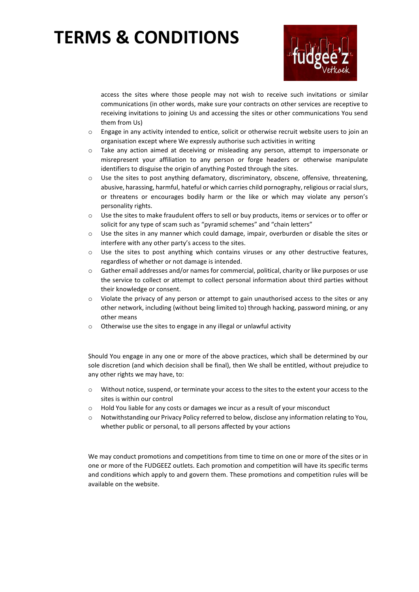

access the sites where those people may not wish to receive such invitations or similar communications (in other words, make sure your contracts on other services are receptive to receiving invitations to joining Us and accessing the sites or other communications You send them from Us)

- $\circ$  Engage in any activity intended to entice, solicit or otherwise recruit website users to join an organisation except where We expressly authorise such activities in writing
- o Take any action aimed at deceiving or misleading any person, attempt to impersonate or misrepresent your affiliation to any person or forge headers or otherwise manipulate identifiers to disguise the origin of anything Posted through the sites.
- o Use the sites to post anything defamatory, discriminatory, obscene, offensive, threatening, abusive, harassing, harmful, hateful or which carries child pornography, religious or racial slurs, or threatens or encourages bodily harm or the like or which may violate any person's personality rights.
- o Use the sites to make fraudulent offers to sell or buy products, items or services or to offer or solicit for any type of scam such as "pyramid schemes" and "chain letters"
- o Use the sites in any manner which could damage, impair, overburden or disable the sites or interfere with any other party's access to the sites.
- $\circ$  Use the sites to post anything which contains viruses or any other destructive features, regardless of whether or not damage is intended.
- o Gather email addresses and/or names for commercial, political, charity or like purposes or use the service to collect or attempt to collect personal information about third parties without their knowledge or consent.
- $\circ$  Violate the privacy of any person or attempt to gain unauthorised access to the sites or any other network, including (without being limited to) through hacking, password mining, or any other means
- o Otherwise use the sites to engage in any illegal or unlawful activity

Should You engage in any one or more of the above practices, which shall be determined by our sole discretion (and which decision shall be final), then We shall be entitled, without prejudice to any other rights we may have, to:

- o Without notice, suspend, or terminate your access to the sites to the extent your access to the sites is within our control
- o Hold You liable for any costs or damages we incur as a result of your misconduct
- o Notwithstanding our Privacy Policy referred to below, disclose any information relating to You, whether public or personal, to all persons affected by your actions

We may conduct promotions and competitions from time to time on one or more of the sites or in one or more of the FUDGEEZ outlets. Each promotion and competition will have its specific terms and conditions which apply to and govern them. These promotions and competition rules will be available on the website.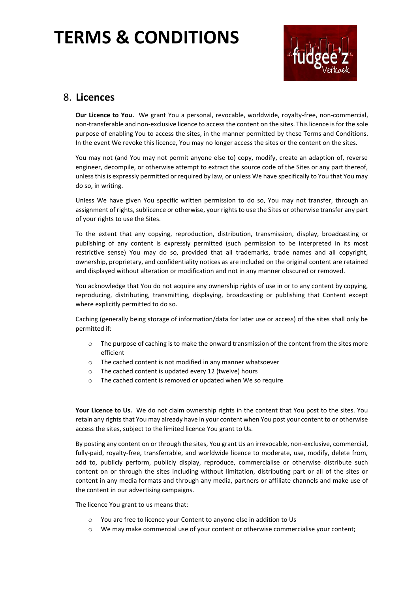

### 8. **Licences**

**Our Licence to You.** We grant You a personal, revocable, worldwide, royalty-free, non-commercial, non-transferable and non-exclusive licence to access the content on the sites. This licence is for the sole purpose of enabling You to access the sites, in the manner permitted by these Terms and Conditions. In the event We revoke this licence, You may no longer access the sites or the content on the sites.

You may not (and You may not permit anyone else to) copy, modify, create an adaption of, reverse engineer, decompile, or otherwise attempt to extract the source code of the Sites or any part thereof, unless this is expressly permitted or required by law, or unless We have specifically to You that You may do so, in writing.

Unless We have given You specific written permission to do so, You may not transfer, through an assignment of rights, sublicence or otherwise, your rights to use the Sites or otherwise transfer any part of your rights to use the Sites.

To the extent that any copying, reproduction, distribution, transmission, display, broadcasting or publishing of any content is expressly permitted (such permission to be interpreted in its most restrictive sense) You may do so, provided that all trademarks, trade names and all copyright, ownership, proprietary, and confidentiality notices as are included on the original content are retained and displayed without alteration or modification and not in any manner obscured or removed.

You acknowledge that You do not acquire any ownership rights of use in or to any content by copying, reproducing, distributing, transmitting, displaying, broadcasting or publishing that Content except where explicitly permitted to do so.

Caching (generally being storage of information/data for later use or access) of the sites shall only be permitted if:

- $\circ$  The purpose of caching is to make the onward transmission of the content from the sites more efficient
- o The cached content is not modified in any manner whatsoever
- o The cached content is updated every 12 (twelve) hours
- o The cached content is removed or updated when We so require

**Your Licence to Us.** We do not claim ownership rights in the content that You post to the sites. You retain any rights that You may already have in your content when You post your content to or otherwise access the sites, subject to the limited licence You grant to Us.

By posting any content on or through the sites, You grant Us an irrevocable, non-exclusive, commercial, fully-paid, royalty-free, transferrable, and worldwide licence to moderate, use, modify, delete from, add to, publicly perform, publicly display, reproduce, commercialise or otherwise distribute such content on or through the sites including without limitation, distributing part or all of the sites or content in any media formats and through any media, partners or affiliate channels and make use of the content in our advertising campaigns.

The licence You grant to us means that:

- o You are free to licence your Content to anyone else in addition to Us
- $\circ$  We may make commercial use of your content or otherwise commercialise your content;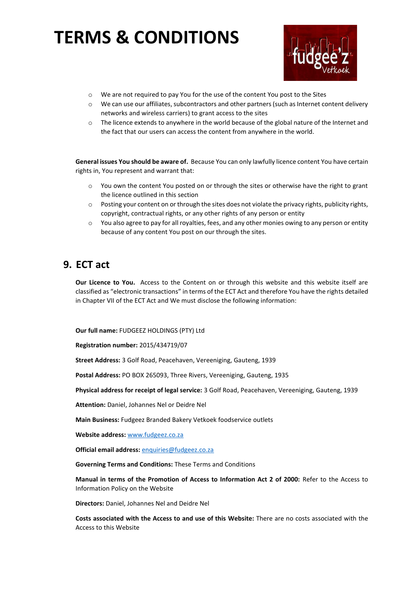

- o We are not required to pay You for the use of the content You post to the Sites
- o We can use our affiliates, subcontractors and other partners (such as Internet content delivery networks and wireless carriers) to grant access to the sites
- $\circ$  The licence extends to anywhere in the world because of the global nature of the Internet and the fact that our users can access the content from anywhere in the world.

**General issues You should be aware of.** Because You can only lawfully licence content You have certain rights in, You represent and warrant that:

- $\circ$  You own the content You posted on or through the sites or otherwise have the right to grant the licence outlined in this section
- $\circ$  Posting your content on or through the sites does not violate the privacy rights, publicity rights, copyright, contractual rights, or any other rights of any person or entity
- $\circ$  You also agree to pay for all royalties, fees, and any other monies owing to any person or entity because of any content You post on our through the sites.

### **9. ECT act**

**Our Licence to You.** Access to the Content on or through this website and this website itself are classified as "electronic transactions" in terms of the ECT Act and therefore You have the rights detailed in Chapter VII of the ECT Act and We must disclose the following information:

**Our full name:** FUDGEEZ HOLDINGS (PTY) Ltd

**Registration number:** 2015/434719/07

**Street Address:** 3 Golf Road, Peacehaven, Vereeniging, Gauteng, 1939

**Postal Address:** PO BOX 265093, Three Rivers, Vereeniging, Gauteng, 1935

**Physical address for receipt of legal service:** 3 Golf Road, Peacehaven, Vereeniging, Gauteng, 1939

**Attention:** Daniel, Johannes Nel or Deidre Nel

**Main Business:** Fudgeez Branded Bakery Vetkoek foodservice outlets

**Website address:** [www.fudgeez.co.za](http://www.fudgeez.co.za/)

**Official email address:** [enquiries@fudgeez.co.za](mailto:enquiries@fudgeez.co.za)

**Governing Terms and Conditions:** These Terms and Conditions

**Manual in terms of the Promotion of Access to Information Act 2 of 2000:** Refer to the Access to Information Policy on the Website

**Directors:** Daniel, Johannes Nel and Deidre Nel

**Costs associated with the Access to and use of this Website:** There are no costs associated with the Access to this Website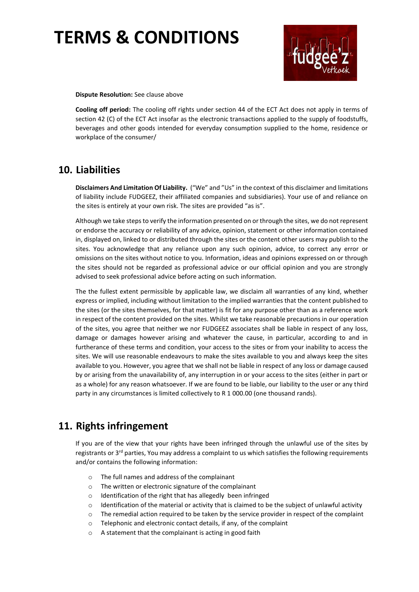

**Dispute Resolution:** See clause above

**Cooling off period:** The cooling off rights under section 44 of the ECT Act does not apply in terms of section 42 (C) of the ECT Act insofar as the electronic transactions applied to the supply of foodstuffs, beverages and other goods intended for everyday consumption supplied to the home, residence or workplace of the consumer/

### **10. Liabilities**

**Disclaimers And Limitation Of Liability.** ("We" and "Us" in the context of this disclaimer and limitations of liability include FUDGEEZ, their affiliated companies and subsidiaries). Your use of and reliance on the sites is entirely at your own risk. The sites are provided "as is".

Although we take steps to verify the information presented on or through the sites, we do not represent or endorse the accuracy or reliability of any advice, opinion, statement or other information contained in, displayed on, linked to or distributed through the sites or the content other users may publish to the sites. You acknowledge that any reliance upon any such opinion, advice, to correct any error or omissions on the sites without notice to you. Information, ideas and opinions expressed on or through the sites should not be regarded as professional advice or our official opinion and you are strongly advised to seek professional advice before acting on such information.

The the fullest extent permissible by applicable law, we disclaim all warranties of any kind, whether express or implied, including without limitation to the implied warranties that the content published to the sites (or the sites themselves, for that matter) is fit for any purpose other than as a reference work in respect of the content provided on the sites. Whilst we take reasonable precautions in our operation of the sites, you agree that neither we nor FUDGEEZ associates shall be liable in respect of any loss, damage or damages however arising and whatever the cause, in particular, according to and in furtherance of these terms and condition, your access to the sites or from your inability to access the sites. We will use reasonable endeavours to make the sites available to you and always keep the sites available to you. However, you agree that we shall not be liable in respect of any loss or damage caused by or arising from the unavailability of, any interruption in or your access to the sites (either in part or as a whole) for any reason whatsoever. If we are found to be liable, our liability to the user or any third party in any circumstances is limited collectively to R 1 000.00 (one thousand rands).

### **11. Rights infringement**

If you are of the view that your rights have been infringed through the unlawful use of the sites by registrants or 3<sup>rd</sup> parties, You may address a complaint to us which satisfies the following requirements and/or contains the following information:

- o The full names and address of the complainant
- o The written or electronic signature of the complainant
- o Identification of the right that has allegedly been infringed
- $\circ$  Identification of the material or activity that is claimed to be the subject of unlawful activity
- $\circ$  The remedial action required to be taken by the service provider in respect of the complaint
- o Telephonic and electronic contact details, if any, of the complaint
- o A statement that the complainant is acting in good faith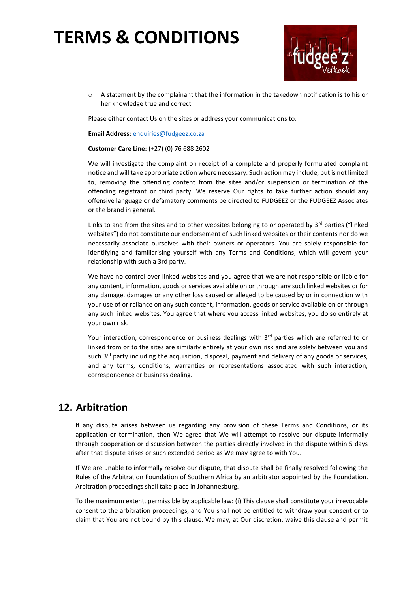

o A statement by the complainant that the information in the takedown notification is to his or her knowledge true and correct

Please either contact Us on the sites or address your communications to:

**Email Address:** [enquiries@fudgeez.co.za](mailto:enquiries@fudgeez.co.za)

#### **Customer Care Line:** (+27) (0) 76 688 2602

We will investigate the complaint on receipt of a complete and properly formulated complaint notice and will take appropriate action where necessary. Such action may include, but is not limited to, removing the offending content from the sites and/or suspension or termination of the offending registrant or third party. We reserve Our rights to take further action should any offensive language or defamatory comments be directed to FUDGEEZ or the FUDGEEZ Associates or the brand in general.

Links to and from the sites and to other websites belonging to or operated by  $3<sup>rd</sup>$  parties ("linked websites") do not constitute our endorsement of such linked websites or their contents nor do we necessarily associate ourselves with their owners or operators. You are solely responsible for identifying and familiarising yourself with any Terms and Conditions, which will govern your relationship with such a 3rd party.

We have no control over linked websites and you agree that we are not responsible or liable for any content, information, goods or services available on or through any such linked websites or for any damage, damages or any other loss caused or alleged to be caused by or in connection with your use of or reliance on any such content, information, goods or service available on or through any such linked websites. You agree that where you access linked websites, you do so entirely at your own risk.

Your interaction, correspondence or business dealings with 3<sup>rd</sup> parties which are referred to or linked from or to the sites are similarly entirely at your own risk and are solely between you and such 3<sup>rd</sup> party including the acquisition, disposal, payment and delivery of any goods or services, and any terms, conditions, warranties or representations associated with such interaction, correspondence or business dealing.

### **12. Arbitration**

If any dispute arises between us regarding any provision of these Terms and Conditions, or its application or termination, then We agree that We will attempt to resolve our dispute informally through cooperation or discussion between the parties directly involved in the dispute within 5 days after that dispute arises or such extended period as We may agree to with You.

If We are unable to informally resolve our dispute, that dispute shall be finally resolved following the Rules of the Arbitration Foundation of Southern Africa by an arbitrator appointed by the Foundation. Arbitration proceedings shall take place in Johannesburg.

To the maximum extent, permissible by applicable law: (i) This clause shall constitute your irrevocable consent to the arbitration proceedings, and You shall not be entitled to withdraw your consent or to claim that You are not bound by this clause. We may, at Our discretion, waive this clause and permit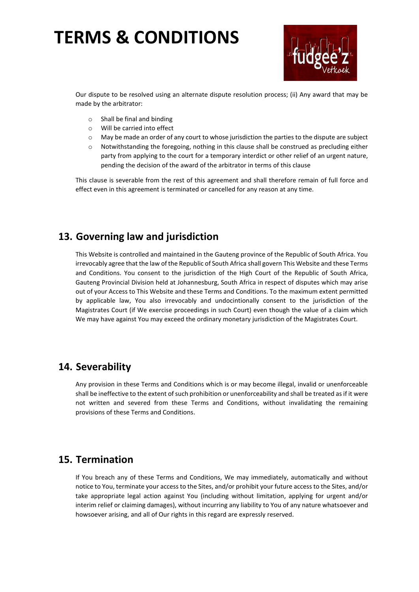

Our dispute to be resolved using an alternate dispute resolution process; (ii) Any award that may be made by the arbitrator:

- o Shall be final and binding
- o Will be carried into effect
- o May be made an order of any court to whose jurisdiction the parties to the dispute are subject
- o Notwithstanding the foregoing, nothing in this clause shall be construed as precluding either party from applying to the court for a temporary interdict or other relief of an urgent nature, pending the decision of the award of the arbitrator in terms of this clause

This clause is severable from the rest of this agreement and shall therefore remain of full force and effect even in this agreement is terminated or cancelled for any reason at any time.

### **13. Governing law and jurisdiction**

This Website is controlled and maintained in the Gauteng province of the Republic of South Africa. You irrevocably agree that the law of the Republic of South Africa shall govern This Website and these Terms and Conditions. You consent to the jurisdiction of the High Court of the Republic of South Africa, Gauteng Provincial Division held at Johannesburg, South Africa in respect of disputes which may arise out of your Access to This Website and these Terms and Conditions. To the maximum extent permitted by applicable law, You also irrevocably and undocintionally consent to the jurisdiction of the Magistrates Court (if We exercise proceedings in such Court) even though the value of a claim which We may have against You may exceed the ordinary monetary jurisdiction of the Magistrates Court.

### **14. Severability**

Any provision in these Terms and Conditions which is or may become illegal, invalid or unenforceable shall be ineffective to the extent of such prohibition or unenforceability and shall be treated as if it were not written and severed from these Terms and Conditions, without invalidating the remaining provisions of these Terms and Conditions.

### **15. Termination**

If You breach any of these Terms and Conditions, We may immediately, automatically and without notice to You, terminate your access to the Sites, and/or prohibit your future access to the Sites, and/or take appropriate legal action against You (including without limitation, applying for urgent and/or interim relief or claiming damages), without incurring any liability to You of any nature whatsoever and howsoever arising, and all of Our rights in this regard are expressly reserved.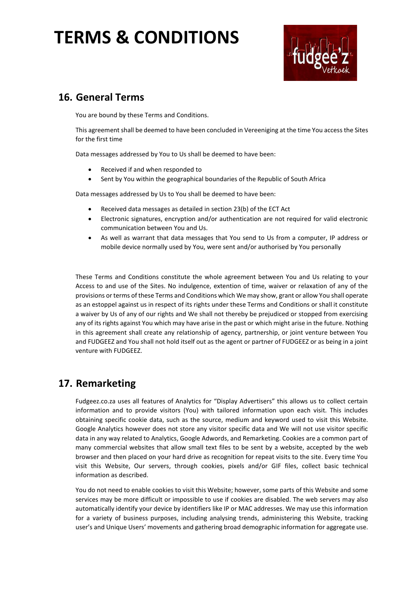

### **16. General Terms**

You are bound by these Terms and Conditions.

This agreement shall be deemed to have been concluded in Vereeniging at the time You access the Sites for the first time

Data messages addressed by You to Us shall be deemed to have been:

- Received if and when responded to
- Sent by You within the geographical boundaries of the Republic of South Africa

Data messages addressed by Us to You shall be deemed to have been:

- Received data messages as detailed in section 23(b) of the ECT Act
- Electronic signatures, encryption and/or authentication are not required for valid electronic communication between You and Us.
- As well as warrant that data messages that You send to Us from a computer, IP address or mobile device normally used by You, were sent and/or authorised by You personally

These Terms and Conditions constitute the whole agreement between You and Us relating to your Access to and use of the Sites. No indulgence, extention of time, waiver or relaxation of any of the provisions or terms of these Terms and Conditions which We may show, grant or allow You shall operate as an estoppel against us in respect of its rights under these Terms and Conditions or shall it constitute a waiver by Us of any of our rights and We shall not thereby be prejudiced or stopped from exercising any of its rights against You which may have arise in the past or which might arise in the future. Nothing in this agreement shall create any relationship of agency, partnership, or joint venture between You and FUDGEEZ and You shall not hold itself out as the agent or partner of FUDGEEZ or as being in a joint venture with FUDGEEZ.

### **17. Remarketing**

Fudgeez.co.za uses all features of Analytics for "Display Advertisers" this allows us to collect certain information and to provide visitors (You) with tailored information upon each visit. This includes obtaining specific cookie data, such as the source, medium and keyword used to visit this Website. Google Analytics however does not store any visitor specific data and We will not use visitor specific data in any way related to Analytics, Google Adwords, and Remarketing. Cookies are a common part of many commercial websites that allow small text files to be sent by a website, accepted by the web browser and then placed on your hard drive as recognition for repeat visits to the site. Every time You visit this Website, Our servers, through cookies, pixels and/or GIF files, collect basic technical information as described.

You do not need to enable cookies to visit this Website; however, some parts of this Website and some services may be more difficult or impossible to use if cookies are disabled. The web servers may also automatically identify your device by identifiers like IP or MAC addresses. We may use this information for a variety of business purposes, including analysing trends, administering this Website, tracking user's and Unique Users' movements and gathering broad demographic information for aggregate use.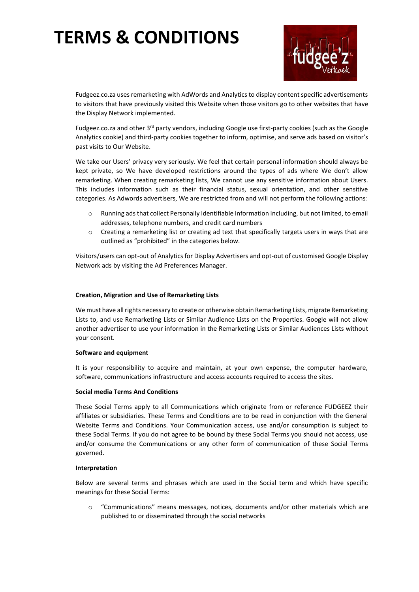

Fudgeez.co.za uses remarketing with AdWords and Analytics to display content specific advertisements to visitors that have previously visited this Website when those visitors go to other websites that have the Display Network implemented.

Fudgeez.co.za and other  $3^{rd}$  party vendors, including Google use first-party cookies (such as the Google Analytics cookie) and third-party cookies together to inform, optimise, and serve ads based on visitor's past visits to Our Website.

We take our Users' privacy very seriously. We feel that certain personal information should always be kept private, so We have developed restrictions around the types of ads where We don't allow remarketing. When creating remarketing lists, We cannot use any sensitive information about Users. This includes information such as their financial status, sexual orientation, and other sensitive categories. As Adwords advertisers, We are restricted from and will not perform the following actions:

- o Running ads that collect Personally Identifiable Information including, but not limited, to email addresses, telephone numbers, and credit card numbers
- o Creating a remarketing list or creating ad text that specifically targets users in ways that are outlined as "prohibited" in the categories below.

Visitors/users can opt-out of Analytics for Display Advertisers and opt-out of customised Google Display Network ads by visiting the Ad Preferences Manager.

#### **Creation, Migration and Use of Remarketing Lists**

We must have all rights necessary to create or otherwise obtain Remarketing Lists, migrate Remarketing Lists to, and use Remarketing Lists or Similar Audience Lists on the Properties. Google will not allow another advertiser to use your information in the Remarketing Lists or Similar Audiences Lists without your consent.

#### **Software and equipment**

It is your responsibility to acquire and maintain, at your own expense, the computer hardware, software, communications infrastructure and access accounts required to access the sites.

#### **Social media Terms And Conditions**

These Social Terms apply to all Communications which originate from or reference FUDGEEZ their affiliates or subsidiaries. These Terms and Conditions are to be read in conjunction with the General Website Terms and Conditions. Your Communication access, use and/or consumption is subject to these Social Terms. If you do not agree to be bound by these Social Terms you should not access, use and/or consume the Communications or any other form of communication of these Social Terms governed.

#### **Interpretation**

Below are several terms and phrases which are used in the Social term and which have specific meanings for these Social Terms:

"Communications" means messages, notices, documents and/or other materials which are published to or disseminated through the social networks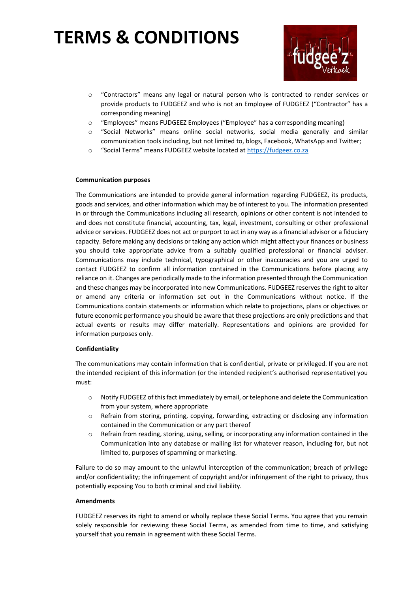

- o "Contractors" means any legal or natural person who is contracted to render services or provide products to FUDGEEZ and who is not an Employee of FUDGEEZ ("Contractor" has a corresponding meaning)
- o "Employees" means FUDGEEZ Employees ("Employee" has a corresponding meaning)
- o "Social Networks" means online social networks, social media generally and similar communication tools including, but not limited to, blogs, Facebook, WhatsApp and Twitter;
- o "Social Terms" means FUDGEEZ website located at [https://fudgeez.co.za](https://fudgeez.co.za/)

#### **Communication purposes**

The Communications are intended to provide general information regarding FUDGEEZ, its products, goods and services, and other information which may be of interest to you. The information presented in or through the Communications including all research, opinions or other content is not intended to and does not constitute financial, accounting, tax, legal, investment, consulting or other professional advice or services. FUDGEEZ does not act or purport to act in any way as a financial advisor or a fiduciary capacity. Before making any decisions or taking any action which might affect your finances or business you should take appropriate advice from a suitably qualified professional or financial adviser. Communications may include technical, typographical or other inaccuracies and you are urged to contact FUDGEEZ to confirm all information contained in the Communications before placing any reliance on it. Changes are periodically made to the information presented through the Communication and these changes may be incorporated into new Communications. FUDGEEZ reserves the right to alter or amend any criteria or information set out in the Communications without notice. If the Communications contain statements or information which relate to projections, plans or objectives or future economic performance you should be aware that these projections are only predictions and that actual events or results may differ materially. Representations and opinions are provided for information purposes only.

#### **Confidentiality**

The communications may contain information that is confidential, private or privileged. If you are not the intended recipient of this information (or the intended recipient's authorised representative) you must:

- o Notify FUDGEEZ of this fact immediately by email, or telephone and delete the Communication from your system, where appropriate
- o Refrain from storing, printing, copying, forwarding, extracting or disclosing any information contained in the Communication or any part thereof
- o Refrain from reading, storing, using, selling, or incorporating any information contained in the Communication into any database or mailing list for whatever reason, including for, but not limited to, purposes of spamming or marketing.

Failure to do so may amount to the unlawful interception of the communication; breach of privilege and/or confidentiality; the infringement of copyright and/or infringement of the right to privacy, thus potentially exposing You to both criminal and civil liability.

#### **Amendments**

FUDGEEZ reserves its right to amend or wholly replace these Social Terms. You agree that you remain solely responsible for reviewing these Social Terms, as amended from time to time, and satisfying yourself that you remain in agreement with these Social Terms.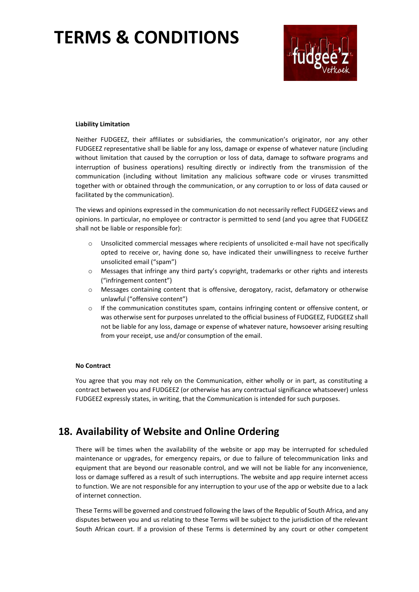

#### **Liability Limitation**

Neither FUDGEEZ, their affiliates or subsidiaries, the communication's originator, nor any other FUDGEEZ representative shall be liable for any loss, damage or expense of whatever nature (including without limitation that caused by the corruption or loss of data, damage to software programs and interruption of business operations) resulting directly or indirectly from the transmission of the communication (including without limitation any malicious software code or viruses transmitted together with or obtained through the communication, or any corruption to or loss of data caused or facilitated by the communication).

The views and opinions expressed in the communication do not necessarily reflect FUDGEEZ views and opinions. In particular, no employee or contractor is permitted to send (and you agree that FUDGEEZ shall not be liable or responsible for):

- o Unsolicited commercial messages where recipients of unsolicited e-mail have not specifically opted to receive or, having done so, have indicated their unwillingness to receive further unsolicited email ("spam")
- o Messages that infringe any third party's copyright, trademarks or other rights and interests ("infringement content")
- o Messages containing content that is offensive, derogatory, racist, defamatory or otherwise unlawful ("offensive content")
- $\circ$  If the communication constitutes spam, contains infringing content or offensive content, or was otherwise sent for purposes unrelated to the official business of FUDGEEZ, FUDGEEZ shall not be liable for any loss, damage or expense of whatever nature, howsoever arising resulting from your receipt, use and/or consumption of the email.

#### **No Contract**

You agree that you may not rely on the Communication, either wholly or in part, as constituting a contract between you and FUDGEEZ (or otherwise has any contractual significance whatsoever) unless FUDGEEZ expressly states, in writing, that the Communication is intended for such purposes.

### **18. Availability of Website and Online Ordering**

There will be times when the availability of the website or app may be interrupted for scheduled maintenance or upgrades, for emergency repairs, or due to failure of telecommunication links and equipment that are beyond our reasonable control, and we will not be liable for any inconvenience, loss or damage suffered as a result of such interruptions. The website and app require internet access to function. We are not responsible for any interruption to your use of the app or website due to a lack of internet connection.

These Terms will be governed and construed following the laws of the Republic of South Africa, and any disputes between you and us relating to these Terms will be subject to the jurisdiction of the relevant South African court. If a provision of these Terms is determined by any court or other competent